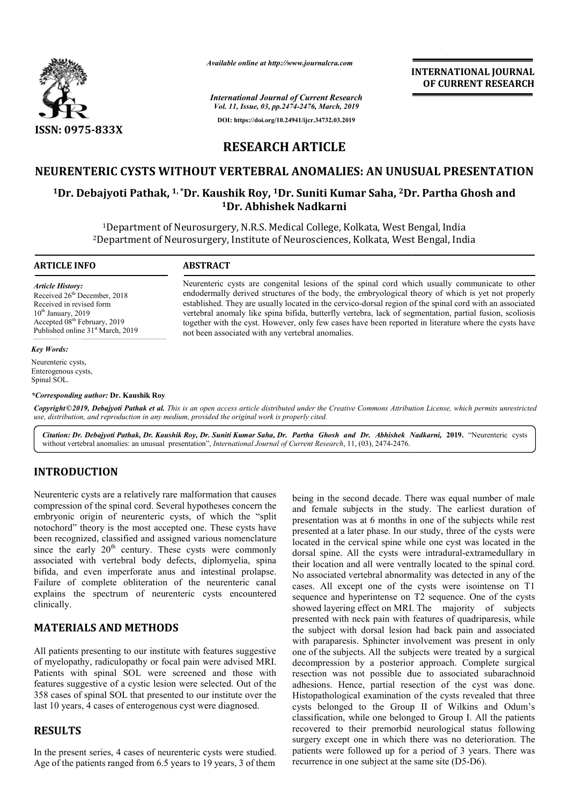

*Available online at http://www.journalcra.com*

*International Journal of Current Research Vol. 11, Issue, 03, pp.2474-2476, March, 2019* **DOI: https://doi.org/10.24941/ijcr.34732.03.2019**

**INTERNATIONAL JOURNAL OF CURRENT RESEARCH**

# **RESEARCH ARTICLE**

# **NEURENTERIC CYSTS WITHOUT VERTEBRAL ANOMALIES: AN UNUSUAL PRESENTATION NEURENTERIC**

# <sup>1</sup>Dr. Debajyoti Pathak, <sup>1,</sup> \*Dr. Kaushik Roy, <sup>1</sup>Dr. Suniti Kumar Saha, <sup>2</sup>Dr. Partha Ghosh and **1Dr. Abhishek Nadkarni**

<sup>1</sup>Department of Neurosurgery, N.R.S. Medical College, Kolkata, West Bengal, India <sup>2</sup>Department of Neurosurgery, Institute of Neurosciences, Kolkata, West Bengal, India

> Neurenteric cysts are congenital lesions of the spinal cord which usually communicate to other endodermally derived structures of the body, the embryological theory of which is yet not properly established. They are usually located in the cervico-dorsal region of the spinal cord with an associated vertebral anomaly like spina bifida, butterfly vertebra, lack of segmentation, partial together with the cyst. However, only few cases have been reported in literature where the cysts have

> Neurenteric cysts are congenital lesions of the spinal cord which usually communicate to other endodermally derived structures of the body, the embryological theory of which is yet not properly established. They are usuall

#### **ARTICLE INFO ABSTRACT**

*Article History:* Received 26<sup>th</sup> December, 2018 Received in revised form  $10^{th}$  January, 2019 Accepted 08<sup>th</sup> February, 2019 Published online 31<sup>st</sup> March, 2019

#### *Key Words:*

Neurenteric cysts, Enterogenous cysts, Spinal SOL.

*\*Corresponding author:* **Dr. Kaushik Roy**

Copyright©2019, Debajyoti Pathak et al. This is an open access article distributed under the Creative Commons Attribution License, which permits unrestrictea *use, distribution, and reproduction in any medium, provided the original work is properly cited.*

not been associated with any vertebral anomalies.

*Citation: Dr. Debajyoti Pathak, Dr. Kaushik Roy, Dr. Suniti Kumar Saha, Dr. Partha Ghosh and Dr. Abhishek Nadkarni Partha Nadkarni,* **2019.** "Neurenteric cysts without vertebral anomalies: an unusual presentation", *International Journal of Current Research*, 11, (03), 2474-2476.

## **INTRODUCTION**

Neurenteric cysts are a relatively rare malformation that causes compression of the spinal cord. Several hypotheses concern the embryonic origin of neurenteric cysts, of which the "split notochord" theory is the most accepted one. These cysts have been recognized, classified and assigned various nomenclature since the early  $20<sup>th</sup>$  century. These cysts were commonly associated with vertebral body defects, diplomyelia, spina bifida, and even imperforate anus and intestinal prolapse. Failure of complete obliteration of the neurenteric canal explains the spectrum of neurenteric cysts encountered clinically.

# **MATERIALS AND METHODS**

All patients presenting to our institute with features suggestive of myelopathy, radiculopathy or focal pain were advised MRI. Patients with spinal SOL were screened and those with features suggestive of a cystic lesion were selected. Out of the 358 cases of spinal SOL that presented to our institute over the last 10 years, 4 cases of enterogenous cyst were diagnosed. he spectrum of neurenteric cysts encountered<br> **ALS AND METHODS**<br>
s presenting to our institute with features suggestive<br>
thy, radiculopathy or focal pain were advised MRI.<br>
The spinal SOL were screened and those with

## **RESULTS**

In the present series, 4 cases of neurenteric cysts were studied. Age of the patients ranged from 6.5 years to 19 years, 3 of them

being in the second decade. There was equal number of male and female subjects in the study. The earliest duration of presentation was at 6 months in one of the subjects while rest presented at a later phase. In our study, three of the cysts were located in the cervical spine while one cyst was located in the presented at a later phase. In our study, three of the cysts were located in the cervical spine while one cyst was located in the dorsal spine. All the cysts were intradural-extramedullary in their location and all were ventrally located to the spinal cord. No associated vertebral abnormality was detected in any of the cases. All except one of the cysts were isointense on T1 sequence and hyperintense on T2 sequence. One of the cysts showed layering effect on MRI. The majority of subjects presented with neck pain with features of quadriparesis, while the subject with dorsal lesion had back pain and associated with paraparesis. Sphincter involvement was present in only one of the subjects. All the subjects were treated by a surgical decompression by a posterior approach. Complete surgical resection was not possible due to associated subarachnoid adhesions. Hence, partial resection of the cyst was done. Histopathological examination of the cysts revealed that three cysts belonged to the Group II of Wilkins and Odum's classification, while one belonged to Group I. All the patients recovered to their premorbid neurological status following surgery except one in which there was no deterioration. The patients were followed up for a period of 3 years. There was recurrence in one subject at the same site (D5-D6). de. There was equal number of male<br>the study. The earliest duration of<br>nths in one of the subjects while rest beiated vertebral abnormality was detected in any of the All except one of the cysts were isointense on T1 ce and hyperintense on T2 sequence. One of the cysts layering effect on MRI. The majority of subjects presented with neck pain with features of quadri<br>the subject with dorsal lesion had back pain a<br>with paraparesis. Sphincter involvement was pi<br>one of the subjects. All the subjects were treated<br>decompression by a posterior recovered to their premorbid neurological status following<br>surgery except one in which there was no deterioration. The<br>patients were followed up for a period of 3 years. There was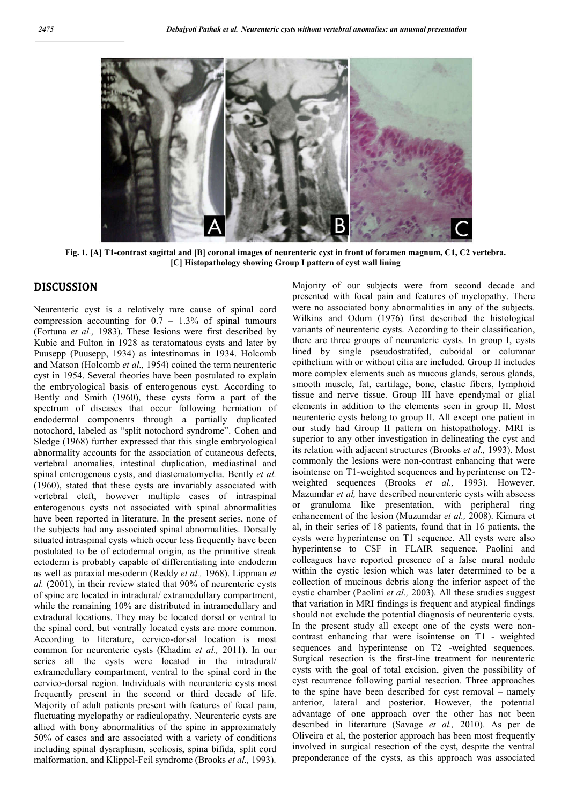

**Fig. 1. [A] T1-contrast sagittal and [B] coronal images of neurenteric cyst in front of foramen magnum, C1, C2 vertebra. [C] Histopathology showing Group I pattern of cyst wall lining**

## **DISCUSSION**

Neurenteric cyst is a relatively rare cause of spinal cord compression accounting for  $0.7 - 1.3\%$  of spinal tumours (Fortuna *et al.,* 1983). These lesions were first described by Kubie and Fulton in 1928 as teratomatous cysts and later by Puusepp (Puusepp, 1934) as intestinomas in 1934. Holcomb and Matson (Holcomb *et al.,* 1954) coined the term neurenteric cyst in 1954. Several theories have been postulated to explain the embryological basis of enterogenous cyst. According to Bently and Smith (1960), these cysts form a part of the spectrum of diseases that occur following herniation of endodermal components through a partially duplicated notochord, labeled as "split notochord syndrome". Cohen and Sledge (1968) further expressed that this single embryological abnormality accounts for the association of cutaneous defects, vertebral anomalies, intestinal duplication, mediastinal and spinal enterogenous cysts, and diastematomyelia. Bently *et al.* (1960), stated that these cysts are invariably associated with vertebral cleft, however multiple cases of intraspinal enterogenous cysts not associated with spinal abnormalities have been reported in literature. In the present series, none of the subjects had any associated spinal abnormalities. Dorsally situated intraspinal cysts which occur less frequently have been postulated to be of ectodermal origin, as the primitive streak ectoderm is probably capable of differentiating into endoderm as well as paraxial mesoderm (Reddy *et al.,* 1968). Lippman *et al.* (2001), in their review stated that 90% of neurenteric cysts of spine are located in intradural/ extramedullary compartment, while the remaining 10% are distributed in intramedullary and extradural locations. They may be located dorsal or ventral to the spinal cord, but ventrally located cysts are more common. According to literature, cervico-dorsal location is most common for neurenteric cysts (Khadim *et al.,* 2011). In our series all the cysts were located in the intradural/ extramedullary compartment, ventral to the spinal cord in the cervico-dorsal region. Individuals with neurenteric cysts most frequently present in the second or third decade of life. Majority of adult patients present with features of focal pain, fluctuating myelopathy or radiculopathy. Neurenteric cysts are allied with bony abnormalities of the spine in approximately 50% of cases and are associated with a variety of conditions including spinal dysraphism, scoliosis, spina bifida, split cord malformation, and Klippel-Feil syndrome (Brooks *et al.,* 1993).

Majority of our subjects were from second decade and presented with focal pain and features of myelopathy. There were no associated bony abnormalities in any of the subjects. Wilkins and Odum (1976) first described the histological variants of neurenteric cysts. According to their classification, there are three groups of neurenteric cysts. In group I, cysts lined by single pseudostratifed, cuboidal or columnar epithelium with or without cilia are included. Group II includes more complex elements such as mucous glands, serous glands, smooth muscle, fat, cartilage, bone, elastic fibers, lymphoid tissue and nerve tissue. Group III have ependymal or glial elements in addition to the elements seen in group II. Most neurenteric cysts belong to group II. All except one patient in our study had Group II pattern on histopathology. MRI is superior to any other investigation in delineating the cyst and its relation with adjacent structures (Brooks *et al.,* 1993). Most commonly the lesions were non-contrast enhancing that were isointense on T1-weighted sequences and hyperintense on T2 weighted sequences (Brooks *et al.,* 1993). However, Mazumdar *et al,* have described neurenteric cysts with abscess or granuloma like presentation, with peripheral ring enhancement of the lesion (Muzumdar *et al.,* 2008). Kimura et al, in their series of 18 patients, found that in 16 patients, the cysts were hyperintense on T1 sequence. All cysts were also hyperintense to CSF in FLAIR sequence. Paolini and colleagues have reported presence of a false mural nodule within the cystic lesion which was later determined to be a collection of mucinous debris along the inferior aspect of the cystic chamber (Paolini *et al.,* 2003). All these studies suggest that variation in MRI findings is frequent and atypical findings should not exclude the potential diagnosis of neurenteric cysts. In the present study all except one of the cysts were noncontrast enhancing that were isointense on T1 - weighted sequences and hyperintense on T2 -weighted sequences. Surgical resection is the first-line treatment for neurenteric cysts with the goal of total excision, given the possibility of cyst recurrence following partial resection. Three approaches to the spine have been described for cyst removal – namely anterior, lateral and posterior. However, the potential advantage of one approach over the other has not been described in literarture (Savage *et al.,* 2010). As per de Oliveira et al, the posterior approach has been most frequently involved in surgical resection of the cyst, despite the ventral preponderance of the cysts, as this approach was associated